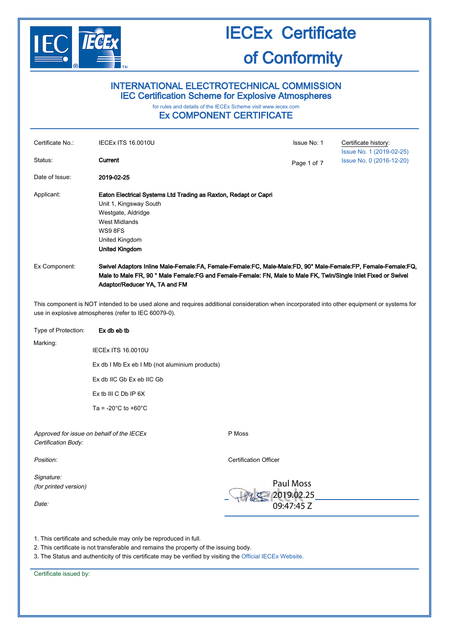

#### INTERNATIONAL ELECTROTECHNICAL COMMISSION IEC Certification Scheme for Explosive Atmospheres

### for rules and details of the IECEx Scheme visit [www.iecex.com](http://www.iecex.com/)

#### Ex COMPONENT CERTIFICATE

| Certificate No.:                                                                                                                                                                                    | <b>IECEX ITS 16.0010U</b>                                                                                                                                                                                                                                        |                              | Issue No: 1                                  | Certificate history:<br>Issue No. 1 (2019-02-25) |  |
|-----------------------------------------------------------------------------------------------------------------------------------------------------------------------------------------------------|------------------------------------------------------------------------------------------------------------------------------------------------------------------------------------------------------------------------------------------------------------------|------------------------------|----------------------------------------------|--------------------------------------------------|--|
| Status:                                                                                                                                                                                             | Current                                                                                                                                                                                                                                                          |                              | Page 1 of 7                                  | Issue No. 0 (2016-12-20)                         |  |
| Date of Issue:                                                                                                                                                                                      | 2019-02-25                                                                                                                                                                                                                                                       |                              |                                              |                                                  |  |
| Applicant:                                                                                                                                                                                          | Eaton Electrical Systems Ltd Trading as Raxton, Redapt or Capri<br>Unit 1, Kingsway South<br>Westgate, Aldridge<br><b>West Midlands</b><br>WS9 8FS<br>United Kingdom<br><b>United Kingdom</b>                                                                    |                              |                                              |                                                  |  |
| Ex Component:                                                                                                                                                                                       | Swivel Adaptors Inline Male-Female:FA, Female-Female:FC, Male-Male:FD, 90° Male-Female:FP, Female-Female:FQ,<br>Male to Male FR, 90 ° Male Female: FG and Female-Female: FN, Male to Male FK, Twin/Single Inlet Fixed or Swivel<br>Adaptor/Reducer YA, TA and FM |                              |                                              |                                                  |  |
| This component is NOT intended to be used alone and requires additional consideration when incorporated into other equipment or systems for<br>use in explosive atmospheres (refer to IEC 60079-0). |                                                                                                                                                                                                                                                                  |                              |                                              |                                                  |  |
| Type of Protection:                                                                                                                                                                                 | Ex db eb tb                                                                                                                                                                                                                                                      |                              |                                              |                                                  |  |
| Marking:                                                                                                                                                                                            | <b>IECEx ITS 16.0010U</b>                                                                                                                                                                                                                                        |                              |                                              |                                                  |  |
|                                                                                                                                                                                                     | Ex db I Mb Ex eb I Mb (not aluminium products)                                                                                                                                                                                                                   |                              |                                              |                                                  |  |
|                                                                                                                                                                                                     | Ex db IIC Gb Ex eb IIC Gb                                                                                                                                                                                                                                        |                              |                                              |                                                  |  |
|                                                                                                                                                                                                     | $Ex$ tb III C Db IP $6X$                                                                                                                                                                                                                                         |                              |                                              |                                                  |  |
|                                                                                                                                                                                                     | Ta = -20 $^{\circ}$ C to +60 $^{\circ}$ C                                                                                                                                                                                                                        |                              |                                              |                                                  |  |
| Approved for issue on behalf of the IECEx<br>Certification Body:                                                                                                                                    |                                                                                                                                                                                                                                                                  | P Moss                       |                                              |                                                  |  |
| Position:                                                                                                                                                                                           |                                                                                                                                                                                                                                                                  | <b>Certification Officer</b> |                                              |                                                  |  |
| Signature:<br>(for printed version)<br>Date:                                                                                                                                                        |                                                                                                                                                                                                                                                                  |                              | <b>Paul Moss</b><br>2019.02.25<br>09:47:45 Z |                                                  |  |
| 1. This certificate and schedule may only be reproduced in full.<br>2. This certificate is not transferable and remains the property of the issuing body.                                           |                                                                                                                                                                                                                                                                  |                              |                                              |                                                  |  |

3. The Status and authenticity of this certificate may be verified by visiting the [Official IECEx Website.](http://iecex.iec.ch/)

Certificate issued by: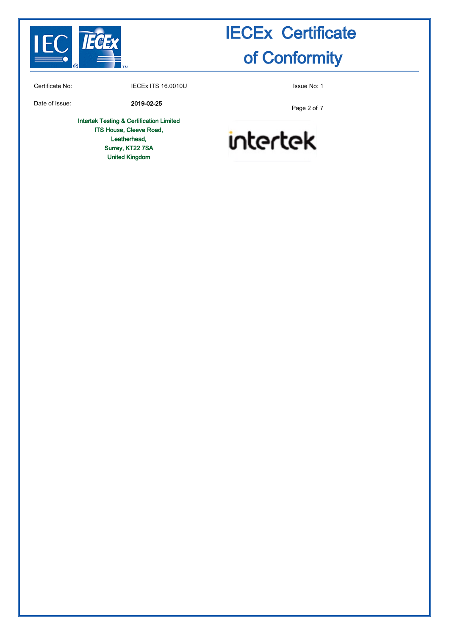

Certificate No: **IECEX ITS 16.0010U** ISSUE No: 1

Date of Issue: 2019-02-25

Intertek Testing & Certification Limited ITS House, Cleeve Road, Leatherhead, Surrey, KT22 7SA United Kingdom

Page 2 of 7

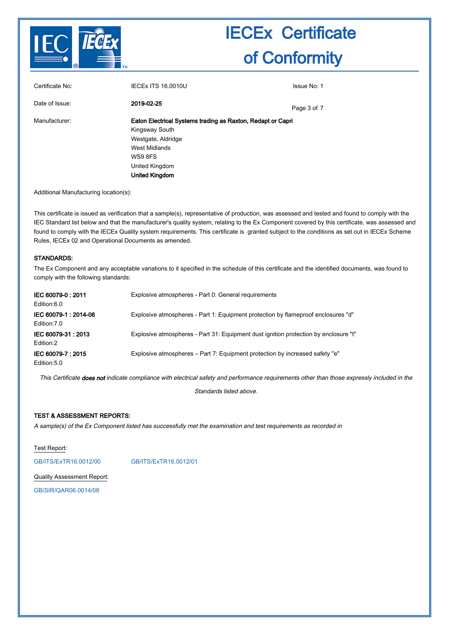

| Certificate No: | <b>IECEX ITS 16.0010U</b>                                   | Issue No: 1 |  |
|-----------------|-------------------------------------------------------------|-------------|--|
| Date of Issue:  | 2019-02-25                                                  | Page 3 of 7 |  |
| Manufacturer:   | Eaton Electrical Systems trading as Raxton, Redapt or Capri |             |  |
|                 | Kingsway South                                              |             |  |
|                 | Westgate, Aldridge                                          |             |  |
|                 | West Midlands                                               |             |  |
|                 | WS9 8FS                                                     |             |  |
|                 | United Kingdom                                              |             |  |
|                 | <b>United Kingdom</b>                                       |             |  |

Additional Manufacturing location(s):

This certificate is issued as verification that a sample(s), representative of production, was assessed and tested and found to comply with the IEC Standard list below and that the manufacturer's quality system, relating to the Ex Component covered by this certificate, was assessed and found to comply with the IECEx Quality system requirements. This certificate is granted subject to the conditions as set out in IECEx Scheme Rules, IECEx 02 and Operational Documents as amended.

#### STANDARDS:

The Ex Component and any acceptable variations to it specified in the schedule of this certificate and the identified documents, was found to comply with the following standards:

| IEC 60079-0:2011<br>Edition:6.0     | Explosive atmospheres - Part 0: General requirements                                 |
|-------------------------------------|--------------------------------------------------------------------------------------|
| IEC 60079-1:2014-06<br>Edition: 7.0 | Explosive atmospheres - Part 1: Equipment protection by flameproof enclosures "d"    |
| IEC 60079-31: 2013<br>Edition:2     | Explosive atmospheres - Part 31: Equipment dust ignition protection by enclosure "t" |
| IEC 60079-7:2015<br>Edition:5.0     | Explosive atmospheres – Part 7: Equipment protection by increased safety "e"         |

This Certificate does not indicate compliance with electrical safety and performance requirements other than those expressly included in the

Standards listed above.

#### TEST & ASSESSMENT REPORTS:

A sample(s) of the Ex Component listed has successfully met the examination and test requirements as recorded in

Test Report:

[GB/ITS/ExTR16.0012/00](http://iecex.iec.ch/extr/GB.ITS.ExTR16.0012.00) [GB/ITS/ExTR16.0012/01](http://iecex.iec.ch/extr/GB.ITS.ExTR16.0012.01)

Quality Assessment Report:

[GB/SIR/QAR06.0014/08](http://iecex.iec.ch/qar/GB.SIR.QAR06.0014.08)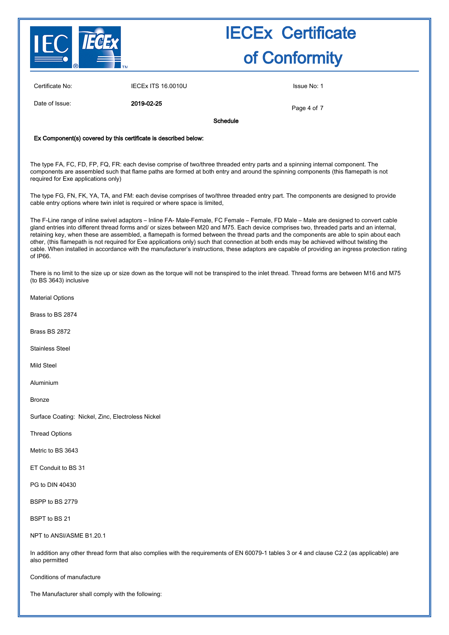

Certificate No: **IECEX ITS 16.0010U** ISSUE No: 1

Date of Issue: 2019-02-25

Page 4 of 7

Schedule

#### Ex Component(s) covered by this certificate is described below:

The type FA, FC, FD, FP, FQ, FR: each devise comprise of two/three threaded entry parts and a spinning internal component. The components are assembled such that flame paths are formed at both entry and around the spinning components (this flamepath is not required for Exe applications only)

The type FG, FN, FK, YA, TA, and FM: each devise comprises of two/three threaded entry part. The components are designed to provide cable entry options where twin inlet is required or where space is limited,

The F-Line range of inline swivel adaptors – Inline FA- Male-Female, FC Female – Female, FD Male – Male are designed to convert cable gland entries into different thread forms and/ or sizes between M20 and M75. Each device comprises two, threaded parts and an internal, retaining key, when these are assembled, a flamepath is formed between the thread parts and the components are able to spin about each other, (this flamepath is not required for Exe applications only) such that connection at both ends may be achieved without twisting the cable. When installed in accordance with the manufacturer's instructions, these adaptors are capable of providing an ingress protection rating of IP66.

There is no limit to the size up or size down as the torque will not be transpired to the inlet thread. Thread forms are between M16 and M75 (to BS 3643) inclusive

Material Options

Brass to BS 2874

Brass BS 2872

Stainless Steel

Mild Steel

Aluminium

Bronze

Surface Coating: Nickel, Zinc, Electroless Nickel

Thread Options

Metric to BS 3643

ET Conduit to BS 31

PG to DIN 40430

BSPP to BS 2779

BSPT to BS 21

NPT to ANSI/ASME B1.20.1

In addition any other thread form that also complies with the requirements of EN 60079-1 tables 3 or 4 and clause C2.2 (as applicable) are also permitted

Conditions of manufacture

The Manufacturer shall comply with the following: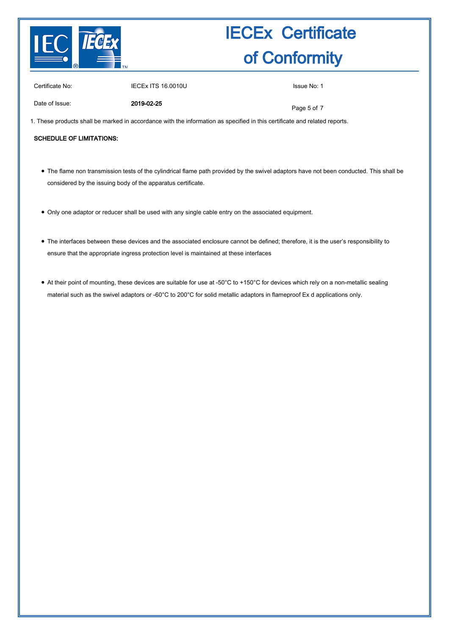

Certificate No: **IECEX ITS 16.0010U** ISSUE No: 1

Date of Issue: 2019-02-25

Page 5 of 7

1. These products shall be marked in accordance with the information as specified in this certificate and related reports.

#### SCHEDULE OF LIMITATIONS:

- The flame non transmission tests of the cylindrical flame path provided by the swivel adaptors have not been conducted. This shall be considered by the issuing body of the apparatus certificate.
- Only one adaptor or reducer shall be used with any single cable entry on the associated equipment.
- The interfaces between these devices and the associated enclosure cannot be defined; therefore, it is the user's responsibility to ensure that the appropriate ingress protection level is maintained at these interfaces
- At their point of mounting, these devices are suitable for use at -50°C to +150°C for devices which rely on a non-metallic sealing material such as the swivel adaptors or -60°C to 200°C for solid metallic adaptors in flameproof Ex d applications only.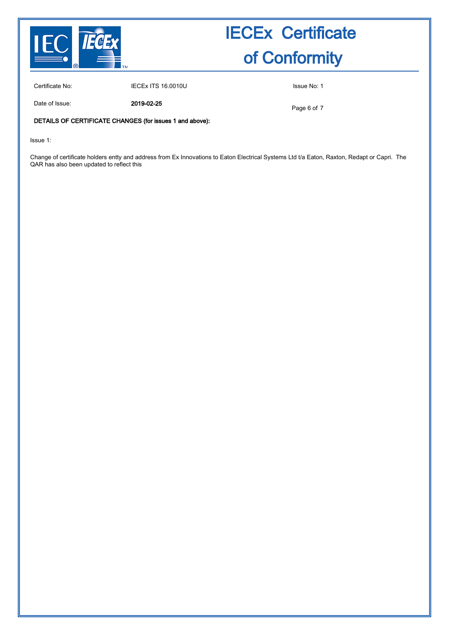

Certificate No: **IECEX ITS 16.0010U** ISSUE No: 1

Date of Issue: 2019-02-25

Page 6 of 7

#### DETAILS OF CERTIFICATE CHANGES (for issues 1 and above):

Issue 1:

Change of certificate holders entty and address from Ex Innovations to Eaton Electrical Systems Ltd t/a Eaton, Raxton, Redapt or Capri. The QAR has also been updated to reflect this